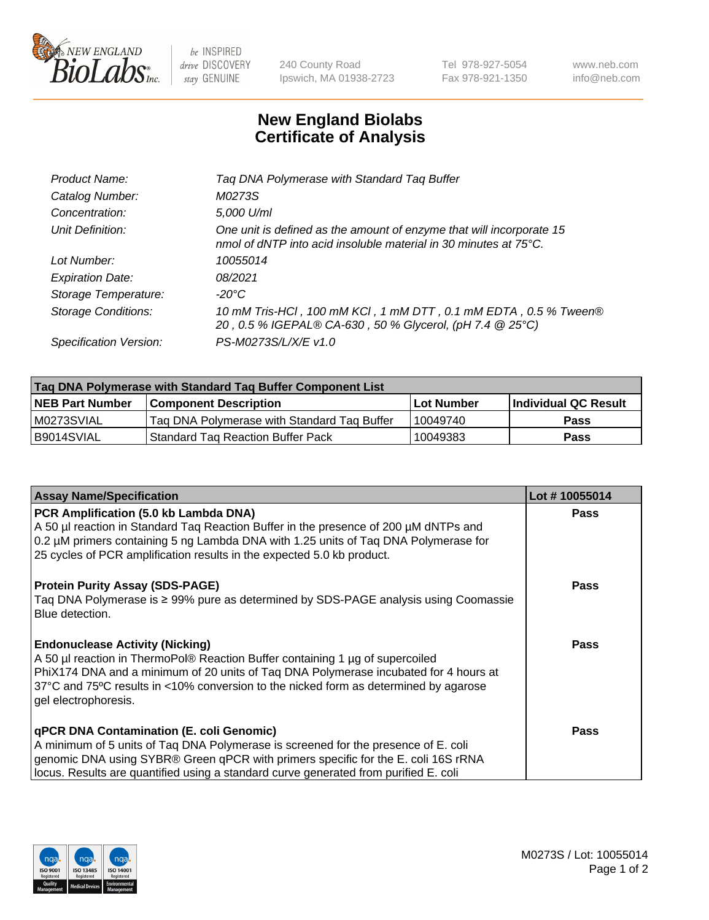

 $be$  INSPIRED drive DISCOVERY stay GENUINE

240 County Road Ipswich, MA 01938-2723 Tel 978-927-5054 Fax 978-921-1350 www.neb.com info@neb.com

## **New England Biolabs Certificate of Analysis**

| Product Name:              | Tag DNA Polymerase with Standard Tag Buffer                                                                                              |
|----------------------------|------------------------------------------------------------------------------------------------------------------------------------------|
| Catalog Number:            | M0273S                                                                                                                                   |
| Concentration:             | 5,000 U/ml                                                                                                                               |
| Unit Definition:           | One unit is defined as the amount of enzyme that will incorporate 15<br>nmol of dNTP into acid insoluble material in 30 minutes at 75°C. |
| Lot Number:                | 10055014                                                                                                                                 |
| <b>Expiration Date:</b>    | 08/2021                                                                                                                                  |
| Storage Temperature:       | $-20^{\circ}$ C                                                                                                                          |
| <b>Storage Conditions:</b> | 10 mM Tris-HCl, 100 mM KCl, 1 mM DTT, 0.1 mM EDTA, 0.5 % Tween®<br>20, 0.5 % IGEPAL® CA-630, 50 % Glycerol, (pH 7.4 @ 25°C)              |
| Specification Version:     | PS-M0273S/L/X/E v1.0                                                                                                                     |
|                            |                                                                                                                                          |

| Tag DNA Polymerase with Standard Tag Buffer Component List |                                             |                   |                      |  |
|------------------------------------------------------------|---------------------------------------------|-------------------|----------------------|--|
| <b>NEB Part Number</b>                                     | <b>Component Description</b>                | <b>Lot Number</b> | Individual QC Result |  |
| M0273SVIAL                                                 | Tag DNA Polymerase with Standard Tag Buffer | 10049740          | <b>Pass</b>          |  |
| B9014SVIAL                                                 | <b>Standard Tag Reaction Buffer Pack</b>    | 10049383          | Pass                 |  |

| <b>Assay Name/Specification</b>                                                                                                                                                                                                                                                                                                 | Lot #10055014 |
|---------------------------------------------------------------------------------------------------------------------------------------------------------------------------------------------------------------------------------------------------------------------------------------------------------------------------------|---------------|
| PCR Amplification (5.0 kb Lambda DNA)<br>A 50 µl reaction in Standard Tag Reaction Buffer in the presence of 200 µM dNTPs and<br>0.2 µM primers containing 5 ng Lambda DNA with 1.25 units of Tag DNA Polymerase for<br>25 cycles of PCR amplification results in the expected 5.0 kb product.                                  | <b>Pass</b>   |
| <b>Protein Purity Assay (SDS-PAGE)</b><br>Taq DNA Polymerase is ≥ 99% pure as determined by SDS-PAGE analysis using Coomassie<br>Blue detection.                                                                                                                                                                                | Pass          |
| <b>Endonuclease Activity (Nicking)</b><br>A 50 µl reaction in ThermoPol® Reaction Buffer containing 1 µg of supercoiled<br>PhiX174 DNA and a minimum of 20 units of Tag DNA Polymerase incubated for 4 hours at<br>37°C and 75°C results in <10% conversion to the nicked form as determined by agarose<br>gel electrophoresis. | Pass          |
| qPCR DNA Contamination (E. coli Genomic)<br>A minimum of 5 units of Taq DNA Polymerase is screened for the presence of E. coli<br>genomic DNA using SYBR® Green qPCR with primers specific for the E. coli 16S rRNA<br>locus. Results are quantified using a standard curve generated from purified E. coli                     | Pass          |